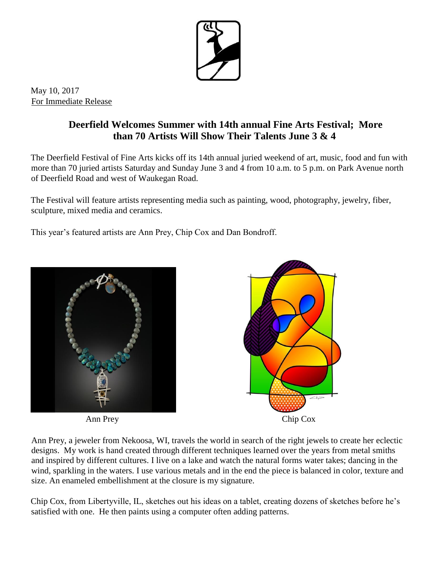

May 10, 2017 For Immediate Release

## **Deerfield Welcomes Summer with 14th annual Fine Arts Festival; More than 70 Artists Will Show Their Talents June 3 & 4**

The Deerfield Festival of Fine Arts kicks off its 14th annual juried weekend of art, music, food and fun with more than 70 juried artists Saturday and Sunday June 3 and 4 from 10 a.m. to 5 p.m. on Park Avenue north of Deerfield Road and west of Waukegan Road.

The Festival will feature artists representing media such as painting, wood, photography, jewelry, fiber, sculpture, mixed media and ceramics.

This year's featured artists are Ann Prey, Chip Cox and Dan Bondroff.





Ann Prey, a jeweler from Nekoosa, WI, travels the world in search of the right jewels to create her eclectic designs. My work is hand created through different techniques learned over the years from metal smiths and inspired by different cultures. I live on a lake and watch the natural forms water takes; dancing in the wind, sparkling in the waters. I use various metals and in the end the piece is balanced in color, texture and size. An enameled embellishment at the closure is my signature.

Chip Cox, from Libertyville, IL, sketches out his ideas on a tablet, creating dozens of sketches before he's satisfied with one. He then paints using a computer often adding patterns.